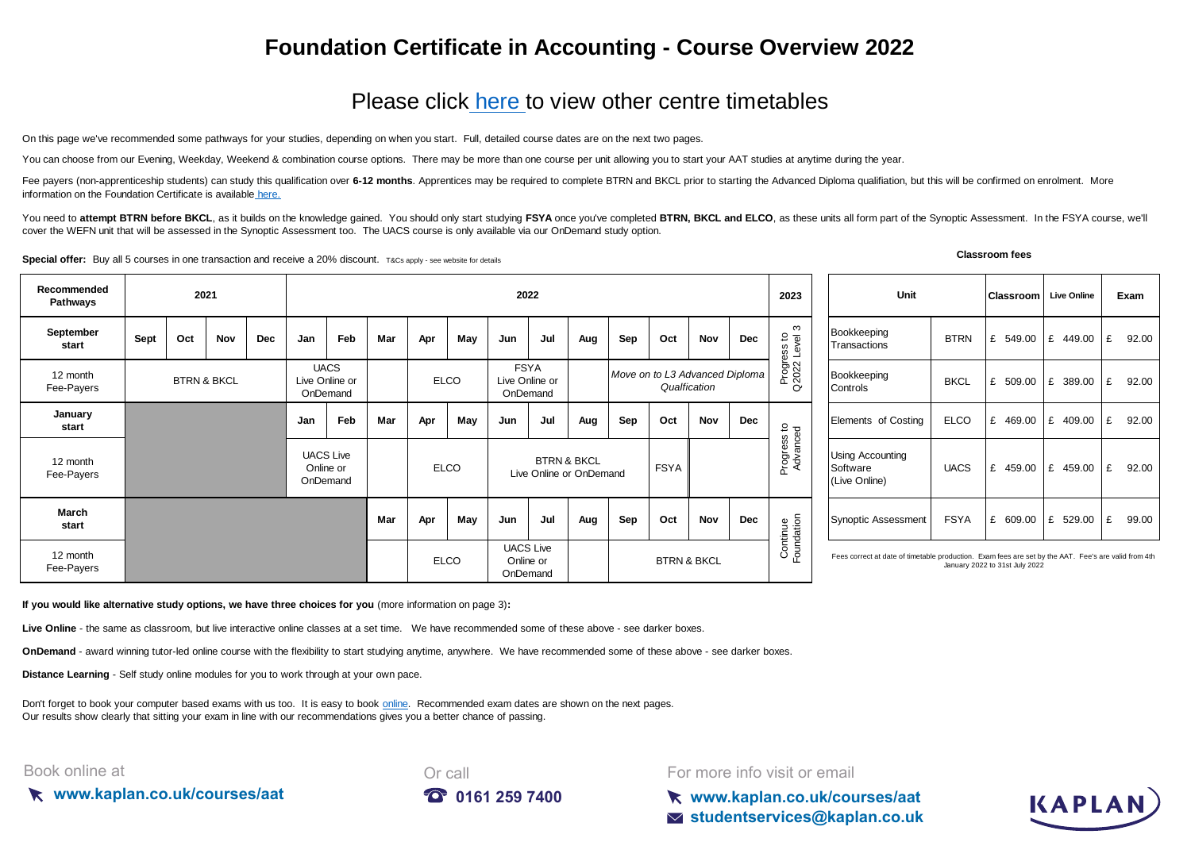## **Foundation Certificate in Accounting - Course Overview 2022**

## [Please click here t](https://kaplan.co.uk/courses/aat)o view other centre timetables

On this page we've recommended some pathways for your studies, depending on when you start. Full, detailed course dates are on the next two pages.

You can choose from our Evening, Weekday, Weekend & combination course options. There may be more than one course per unit allowing you to start your AAT studies at anytime during the year.

[Fee payers \(non-apprenticeship students\) can study this qualification over](https://kaplan.co.uk/courses/aat) 6-12 months. Apprentices may be required to complete BTRN and BKCL prior to starting the Advanced Diploma qualifiation, but this will be confirmed [information on the Foundation Certificate is available](https://kaplan.co.uk/courses/aat) here.

You need to attempt BTRN before BKCL, as it builds on the knowledge gained. You should only start studying FSYA once you've completed BTRN, BKCL and ELCO, as these units all form part of the Synoptic Assessment. In the FSY cover the WEFN unit that will be assessed in the Synoptic Assessment too. The UACS course is only available via our OnDemand study option.

**Special offer:** Buy all 5 courses in one transaction and receive a 20% discount. T&Cs apply - see website for details

**Classroom fees**

KAPLAI

| Recommended<br>Pathways | 2021                   |     |            | 2022                                      |                                           |             |             |                                           |                                                   |                                                |                  | 2023        | Unit            |                         | <b>Classroom</b> Live Online                         |             | Exam                   |                                                                                                      |             |                                |                              |            |
|-------------------------|------------------------|-----|------------|-------------------------------------------|-------------------------------------------|-------------|-------------|-------------------------------------------|---------------------------------------------------|------------------------------------------------|------------------|-------------|-----------------|-------------------------|------------------------------------------------------|-------------|------------------------|------------------------------------------------------------------------------------------------------|-------------|--------------------------------|------------------------------|------------|
| September<br>start      | Sept                   | Oct | <b>Nov</b> | <b>Dec</b>                                | Jan                                       | Feb         | Mar         | Apr                                       | May                                               | Jun                                            | Jul              | Aug         | Sep             | Oct                     | Nov                                                  | <b>Dec</b>  | ო<br>ess to<br>Level:  | Bookkeeping<br>Transactions                                                                          | <b>BTRN</b> |                                | £ 549.00 $\mathsf{E}$ 449.00 | £<br>92.00 |
| 12 month<br>Fee-Payers  | <b>BTRN &amp; BKCL</b> |     |            | <b>UACS</b><br>Live Online or<br>OnDemand |                                           | <b>ELCO</b> |             | <b>FSYA</b><br>Live Online or<br>OnDemand |                                                   | Move on to L3 Advanced Diploma<br>Qualfication |                  |             | Progre<br>Q2022 | Bookkeeping<br>Controls | <b>BKCL</b>                                          | £ 509.00    | 389.00<br>l £          | £<br>92.00                                                                                           |             |                                |                              |            |
| January<br>start        |                        |     |            |                                           | Jan                                       | Feb         | Mar         | Apr                                       | May                                               | Jun                                            | Jul              | Aug         | Sep             | Oct                     | Nov                                                  | Dec         |                        | Elements of Costing                                                                                  | <b>ELCO</b> |                                | £ 469.00 $\mathsf{E}$ 409.00 | £<br>92.00 |
| 12 month<br>Fee-Payers  |                        |     |            |                                           | <b>UACS Live</b><br>Online or<br>OnDemand |             | <b>ELCO</b> |                                           | <b>BTRN &amp; BKCL</b><br>Live Online or OnDemand |                                                |                  | <b>FSYA</b> |                 | Progress to<br>Advanced | <b>Using Accounting</b><br>Software<br>(Live Online) | <b>UACS</b> | £ 459.00   £ 459.00    |                                                                                                      | £<br>92.00  |                                |                              |            |
| March<br>start          |                        |     |            |                                           |                                           |             | Mar         | Apr                                       | May                                               | Jun                                            | Jul              | Aug         | Sep             | Oct                     | Nov                                                  | Dec         | Continue<br>Foundation | Synoptic Assessment                                                                                  | <b>FSYA</b> | £ 609.00 $E$ 529.00            |                              | £<br>99.00 |
| 12 month<br>Fee-Payers  |                        |     |            |                                           |                                           |             |             |                                           | <b>ELCO</b>                                       | Online or<br>OnDemand                          | <b>UACS Live</b> |             |                 | <b>BTRN &amp; BKCL</b>  |                                                      |             |                        | Fees correct at date of timetable production. Exam fees are set by the AAT. Fee's are valid from 4th |             | January 2022 to 31st July 2022 |                              |            |

**If you would like alternative study options, we have three choices for you** (more information on page 3)**:**

**Live Online** - the same as classroom, but live interactive online classes at a set time. We have recommended some of these above - see darker boxes.

**OnDemand** - award winning tutor-led online course with the flexibility to start studying anytime, anywhere. We have recommended some of these above - see darker boxes.

**Distance Learning** - Self study online modules for you to work through at your own pace.

[Don't forget to book your computer based exams with us too. It is easy to book online](https://kaplan.co.uk/exams). Recommended exam dates are shown on the next pages. [Our results show clearl](https://kaplan.co.uk/exams)y that sitting your exam in line with our recommendations gives you a better chance of passing.

#### Book online at

**www.kaplan.co.uk/courses/aat**



For more info visit or email

**www.kaplan.co.uk/courses/aat studentservices@kaplan.co.uk**